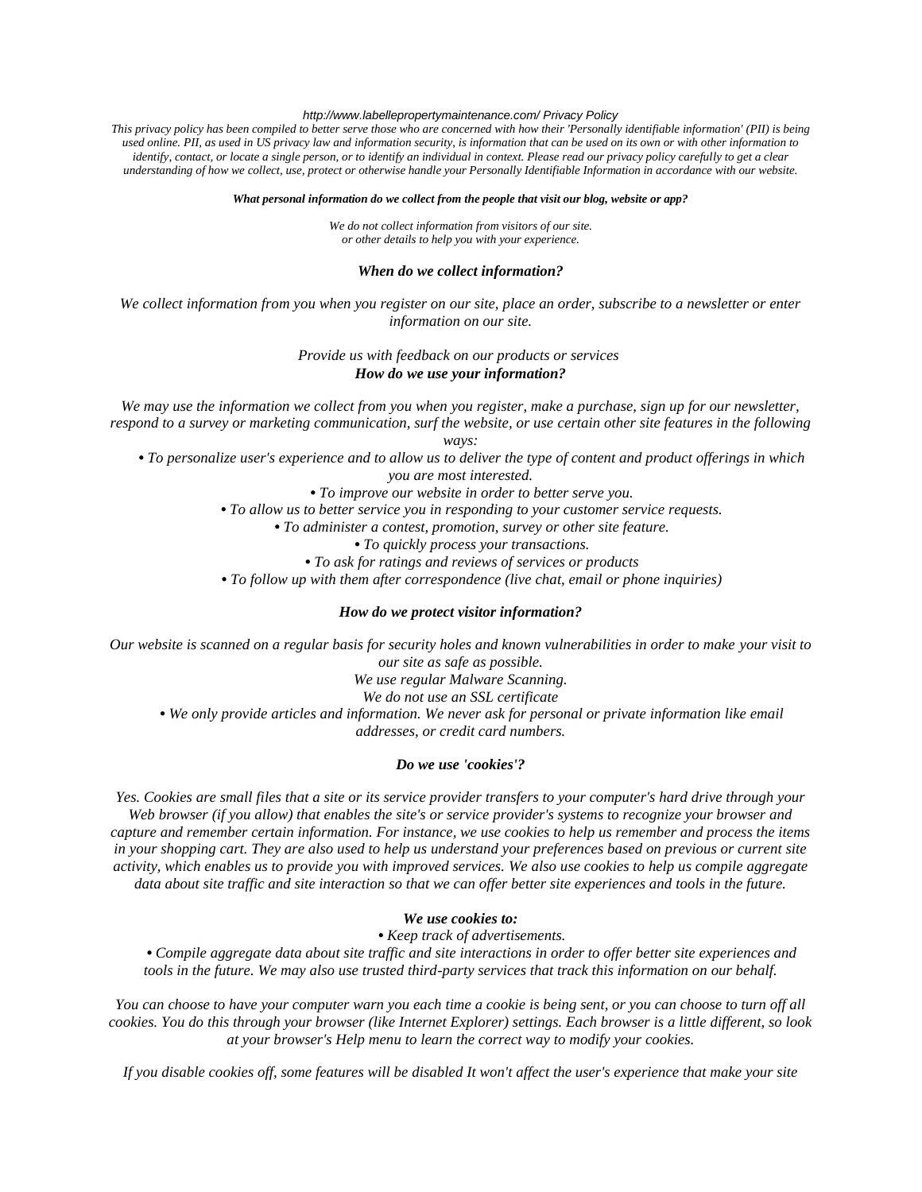### *http://www.labellepropertymaintenance.com/ Privacy Policy*

*This privacy policy has been compiled to better serve those who are concerned with how their 'Personally identifiable information' (PII) is being used online. PII, as used in US privacy law and information security, is information that can be used on its own or with other information to identify, contact, or locate a single person, or to identify an individual in context. Please read our privacy policy carefully to get a clear understanding of how we collect, use, protect or otherwise handle your Personally Identifiable Information in accordance with our website.*

#### *What personal information do we collect from the people that visit our blog, website or app?*

*We do not collect information from visitors of our site. or other details to help you with your experience.*

#### *When do we collect information?*

*We collect information from you when you register on our site, place an order, subscribe to a newsletter or enter information on our site.*

### *Provide us with feedback on our products or services How do we use your information?*

*We may use the information we collect from you when you register, make a purchase, sign up for our newsletter, respond to a survey or marketing communication, surf the website, or use certain other site features in the following* 

*ways:*

- *• To personalize user's experience and to allow us to deliver the type of content and product offerings in which you are most interested.*
	- *• To improve our website in order to better serve you.*
	- *• To allow us to better service you in responding to your customer service requests.*

 *• To administer a contest, promotion, survey or other site feature.*

 *• To quickly process your transactions.*

 *• To ask for ratings and reviews of services or products*

 *• To follow up with them after correspondence (live chat, email or phone inquiries)*

#### *How do we protect visitor information?*

*Our website is scanned on a regular basis for security holes and known vulnerabilities in order to make your visit to our site as safe as possible.*

*We use regular Malware Scanning.*

*We do not use an SSL certificate*

 *• We only provide articles and information. We never ask for personal or private information like email addresses, or credit card numbers.*

### *Do we use 'cookies'?*

*Yes. Cookies are small files that a site or its service provider transfers to your computer's hard drive through your Web browser (if you allow) that enables the site's or service provider's systems to recognize your browser and capture and remember certain information. For instance, we use cookies to help us remember and process the items in your shopping cart. They are also used to help us understand your preferences based on previous or current site activity, which enables us to provide you with improved services. We also use cookies to help us compile aggregate data about site traffic and site interaction so that we can offer better site experiences and tools in the future.*

# *We use cookies to:*

 *• Keep track of advertisements.*

 *• Compile aggregate data about site traffic and site interactions in order to offer better site experiences and tools in the future. We may also use trusted third-party services that track this information on our behalf.*

*You can choose to have your computer warn you each time a cookie is being sent, or you can choose to turn off all cookies. You do this through your browser (like Internet Explorer) settings. Each browser is a little different, so look at your browser's Help menu to learn the correct way to modify your cookies.*

*If you disable cookies off, some features will be disabled It won't affect the user's experience that make your site*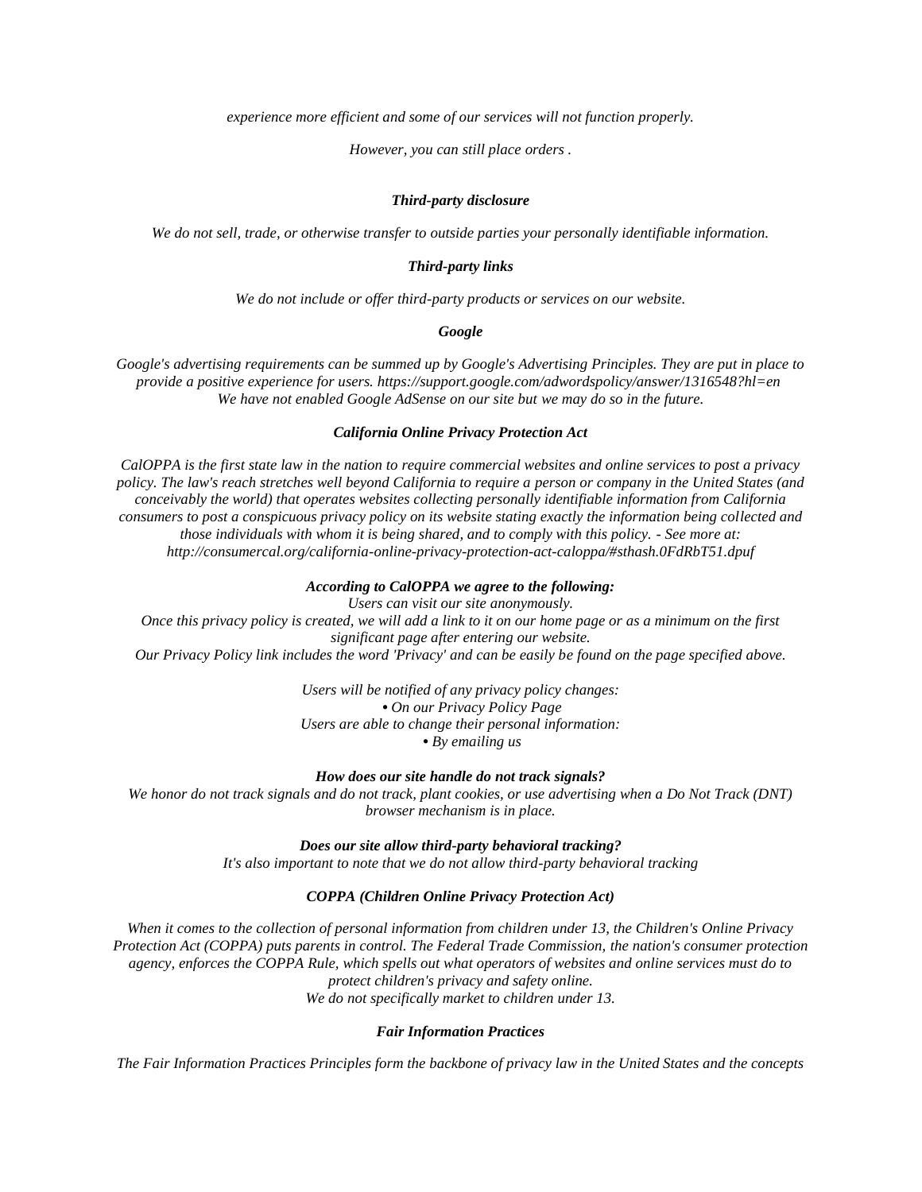*experience more efficient and some of our services will not function properly.*

*However, you can still place orders .*

## *Third-party disclosure*

*We do not sell, trade, or otherwise transfer to outside parties your personally identifiable information.*

## *Third-party links*

*We do not include or offer third-party products or services on our website.*

## *Google*

*Google's advertising requirements can be summed up by Google's Advertising Principles. They are put in place to provide a positive experience for users. https://support.google.com/adwordspolicy/answer/1316548?hl=en We have not enabled Google AdSense on our site but we may do so in the future.*

## *California Online Privacy Protection Act*

*CalOPPA is the first state law in the nation to require commercial websites and online services to post a privacy policy. The law's reach stretches well beyond California to require a person or company in the United States (and conceivably the world) that operates websites collecting personally identifiable information from California consumers to post a conspicuous privacy policy on its website stating exactly the information being collected and those individuals with whom it is being shared, and to comply with this policy. - See more at: http://consumercal.org/california-online-privacy-protection-act-caloppa/#sthash.0FdRbT51.dpuf*

### *According to CalOPPA we agree to the following:*

*Users can visit our site anonymously. Once this privacy policy is created, we will add a link to it on our home page or as a minimum on the first significant page after entering our website. Our Privacy Policy link includes the word 'Privacy' and can be easily be found on the page specified above.*

> *Users will be notified of any privacy policy changes: • On our Privacy Policy Page Users are able to change their personal information: • By emailing us*

*How does our site handle do not track signals?*

*We honor do not track signals and do not track, plant cookies, or use advertising when a Do Not Track (DNT) browser mechanism is in place.*

*Does our site allow third-party behavioral tracking?*

*It's also important to note that we do not allow third-party behavioral tracking*

## *COPPA (Children Online Privacy Protection Act)*

*When it comes to the collection of personal information from children under 13, the Children's Online Privacy Protection Act (COPPA) puts parents in control. The Federal Trade Commission, the nation's consumer protection agency, enforces the COPPA Rule, which spells out what operators of websites and online services must do to protect children's privacy and safety online. We do not specifically market to children under 13.*

## *Fair Information Practices*

*The Fair Information Practices Principles form the backbone of privacy law in the United States and the concepts*